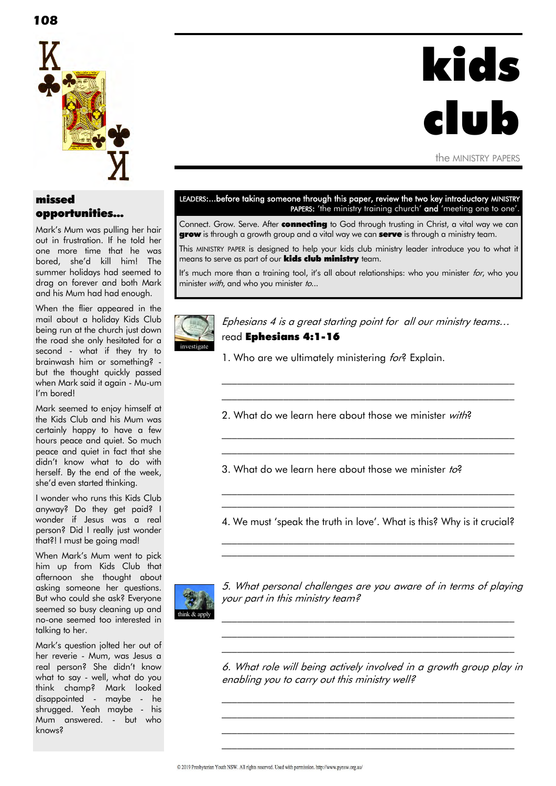## missed opportunities...

Mark"s Mum was pulling her hair out in frustration. If he told her one more time that he was bored, she"d kill him! The summer holidays had seemed to drag on forever and both Mark and his Mum had had enough.

When the flier appeared in the mail about a holiday Kids Club being run at the church just down the road she only hesitated for a second - what if they try to brainwash him or something? but the thought quickly passed when Mark said it again - Mu-um I'm bored!

Mark seemed to enjoy himself at the Kids Club and his Mum was certainly happy to have a few hours peace and quiet. So much peace and quiet in fact that she didn"t know what to do with herself. By the end of the week, she"d even started thinking.

I wonder who runs this Kids Club anyway? Do they get paid? I wonder if Jesus was a real person? Did I really just wonder that?! I must be going mad!

When Mark"s Mum went to pick him up from Kids Club that afternoon she thought about asking someone her questions. But who could she ask? Everyone seemed so busy cleaning up and no-one seemed too interested in talking to her.

Mark"s question jolted her out of her reverie - Mum, was Jesus a real person? She didn"t know what to say - well, what do you think champ? Mark looked disappointed - maybe - he shrugged. Yeah maybe - his Mum answered. - but who knows?

#### LEADERS:...before taking someone through this paper, review the two key introductory MINISTRY PAPERS: 'the ministry training church' and 'meeting one to one'.

kids

the MINISTRY PAPERS

clul

Connect. Grow. Serve. After **connecting** to God through trusting in Christ, a vital way we can grow is through a growth group and a vital way we can serve is through a ministry team.

This MINISTRY PAPER is designed to help your kids club ministry leader introduce you to what it means to serve as part of our **kids club ministry** team.

It's much more than a training tool, it's all about relationships: who you minister *for*, who you minister with, and who you minister to...



Ephesians 4 is a great starting point for all our ministry teams… read Ephesians 4:1-16

 $\mathcal{L}_\text{max}$  and the contract of the contract of the contract of the contract of the contract of the contract of  $\mathcal{L}_\text{max}$  and the contract of the contract of the contract of the contract of the contract of the contract of

\_\_\_\_\_\_\_\_\_\_\_\_\_\_\_\_\_\_\_\_\_\_\_\_\_\_\_\_\_\_\_\_\_\_\_\_\_\_\_\_\_\_\_\_\_\_\_\_\_\_\_\_\_\_\_\_\_  $\mathcal{L}_\text{max}$  and the contract of the contract of the contract of the contract of the contract of the contract of

1. Who are we ultimately ministering for? Explain.

2. What do we learn here about those we minister with?

3. What do we learn here about those we minister to?

4. We must 'speak the truth in love'. What is this? Why is it crucial? \_\_\_\_\_\_\_\_\_\_\_\_\_\_\_\_\_\_\_\_\_\_\_\_\_\_\_\_\_\_\_\_\_\_\_\_\_\_\_\_\_\_\_\_\_\_\_\_\_\_\_\_\_\_\_\_\_

 $\mathcal{L}_\text{max}$  and the contract of the contract of the contract of the contract of the contract of the contract of

\_\_\_\_\_\_\_\_\_\_\_\_\_\_\_\_\_\_\_\_\_\_\_\_\_\_\_\_\_\_\_\_\_\_\_\_\_\_\_\_\_\_\_\_\_\_\_\_\_\_\_\_\_\_\_\_\_  $\mathcal{L}_\text{max}$  and the contract of the contract of the contract of the contract of the contract of the contract of



5. What personal challenges are you aware of in terms of playing your part in this ministry team?

 $\mathcal{L}_\text{max}$  and the contract of the contract of the contract of the contract of the contract of the contract of  $\mathcal{L}_\text{max}$  and the contract of the contract of the contract of the contract of the contract of the contract of  $\mathcal{L}_\text{max}$  and the contract of the contract of the contract of the contract of the contract of the contract of

6. What role will being actively involved in a growth group play in enabling you to carry out this ministry well?

 $\mathcal{L}_\text{max}$  and the contract of the contract of the contract of the contract of the contract of the contract of  $\mathcal{L}_\text{max}$  and the contract of the contract of the contract of the contract of the contract of the contract of  $\mathcal{L}_\text{max}$  and the contract of the contract of the contract of the contract of the contract of the contract of  $\mathcal{L}_\text{max}$  and the contract of the contract of the contract of the contract of the contract of the contract of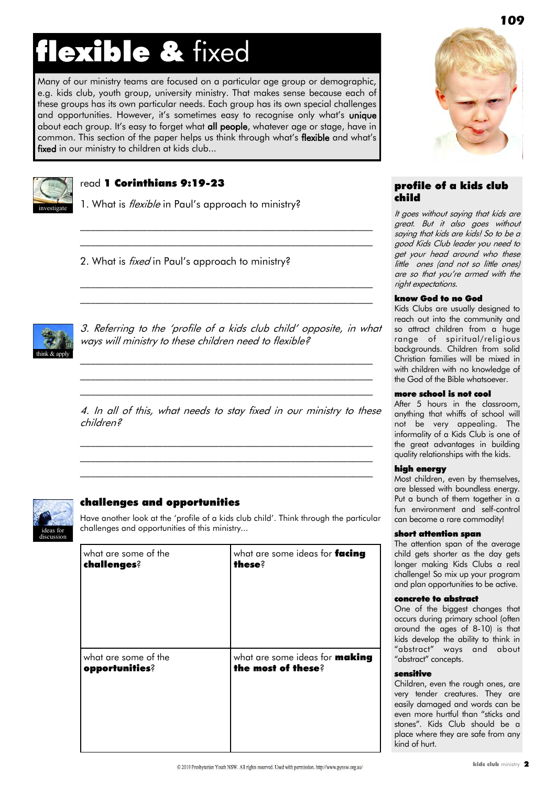# flexible & fixed

Many of our ministry teams are focused on a particular age group or demographic, e.g. kids club, youth group, university ministry. That makes sense because each of these groups has its own particular needs. Each group has its own special challenges and opportunities. However, it's sometimes easy to recognise only what's unique about each group. It's easy to forget what all people, whatever age or stage, have in common. This section of the paper helps us think through what's flexible and what's fixed in our ministry to children at kids club...



## read 1 Corinthians 9:19-23

1. What is *flexible* in Paul's approach to ministry?

2. What is *fixed* in Paul's approach to ministry?



3. Referring to the "profile of a kids club child" opposite, in what ways will ministry to these children need to flexible?

 $\mathcal{L}_\text{max}$  and the contract of the contract of the contract of the contract of the contract of the contract of  $\mathcal{L}_\text{max}$  and the contract of the contract of the contract of the contract of the contract of the contract of  $\mathcal{L}_\text{max}$  and the contract of the contract of the contract of the contract of the contract of the contract of

 $\mathcal{L}_\text{max}$  and the contract of the contract of the contract of the contract of the contract of the contract of \_\_\_\_\_\_\_\_\_\_\_\_\_\_\_\_\_\_\_\_\_\_\_\_\_\_\_\_\_\_\_\_\_\_\_\_\_\_\_\_\_\_\_\_\_\_\_\_\_\_\_\_\_\_\_\_\_

\_\_\_\_\_\_\_\_\_\_\_\_\_\_\_\_\_\_\_\_\_\_\_\_\_\_\_\_\_\_\_\_\_\_\_\_\_\_\_\_\_\_\_\_\_\_\_\_\_\_\_\_\_\_\_\_\_ \_\_\_\_\_\_\_\_\_\_\_\_\_\_\_\_\_\_\_\_\_\_\_\_\_\_\_\_\_\_\_\_\_\_\_\_\_\_\_\_\_\_\_\_\_\_\_\_\_\_\_\_\_\_\_\_\_

4. In all of this, what needs to stay fixed in our ministry to these children?

 $\mathcal{L}_\text{max}$  and the contract of the contract of the contract of the contract of the contract of the contract of \_\_\_\_\_\_\_\_\_\_\_\_\_\_\_\_\_\_\_\_\_\_\_\_\_\_\_\_\_\_\_\_\_\_\_\_\_\_\_\_\_\_\_\_\_\_\_\_\_\_\_\_\_\_\_\_\_  $\mathcal{L}_\text{max}$  and the contract of the contract of the contract of the contract of the contract of the contract of



## challenges and opportunities

Have another look at the "profile of a kids club child". Think through the particular challenges and opportunities of this ministry...

| what are some of the | what are some ideas for facing        |
|----------------------|---------------------------------------|
| challenges?          | <b>these</b> ?                        |
| what are some of the | what are some ideas for <b>making</b> |
| opportunities?       | the most of these?                    |



## profile of a kids club child

It goes without saying that kids are great. But it also goes without saying that kids are kids! So to be a good Kids Club leader you need to get your head around who these little ones (and not so little ones) are so that you"re armed with the right expectations.

#### know God to no God

Kids Clubs are usually designed to reach out into the community and so attract children from a huge range of spiritual/religious backgrounds. Children from solid Christian families will be mixed in with children with no knowledge of the God of the Bible whatsoever.

#### more school is not cool

After 5 hours in the classroom, anything that whiffs of school will not be very appealing. The informality of a Kids Club is one of the great advantages in building quality relationships with the kids.

#### high energy

Most children, even by themselves, are blessed with boundless energy. Put a bunch of them together in a fun environment and self-control can become a rare commodity!

#### short attention span

The attention span of the average child gets shorter as the day gets longer making Kids Clubs a real challenge! So mix up your program and plan opportunities to be active.

#### concrete to abstract

One of the biggest changes that occurs during primary school (often around the ages of 8-10) is that kids develop the ability to think in "abstract" ways and about "abstract" concepts.

#### sensitive

Children, even the rough ones, are very tender creatures. They are easily damaged and words can be even more hurtful than "sticks and stones". Kids Club should be a place where they are safe from any kind of hurt.

**109**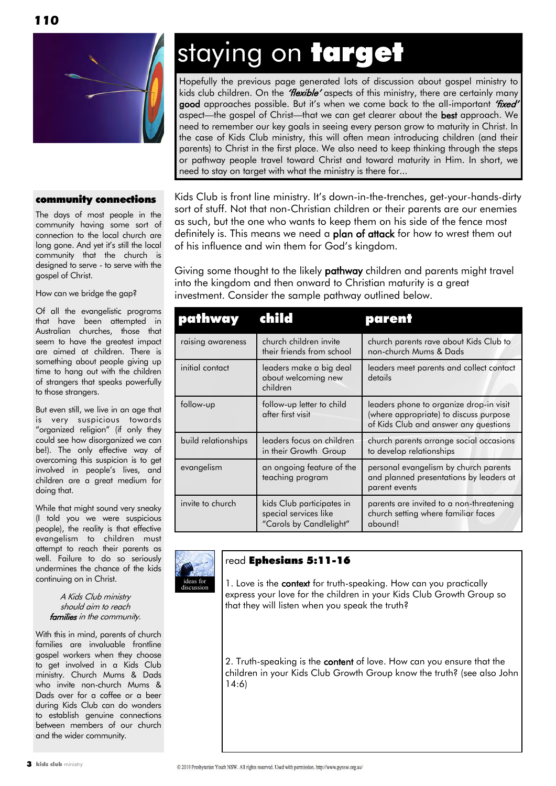

#### community connections

The days of most people in the community having some sort of connection to the local church are long gone. And yet it's still the local community that the church is designed to serve - to serve with the gospel of Christ.

How can we bridge the gap?

Of all the evangelistic programs that have been attempted in Australian churches, those that seem to have the greatest impact are aimed at children. There is something about people giving up time to hang out with the children of strangers that speaks powerfully to those strangers.

But even still, we live in an age that is very suspicious towards "organized religion" (if only they could see how disorganized we can be!). The only effective way of overcoming this suspicion is to get involved in people's lives, and children are a great medium for doing that.

While that might sound very sneaky (I told you we were suspicious people), the reality is that effective evangelism to children must attempt to reach their parents as well. Failure to do so seriously undermines the chance of the kids continuing on in Christ.

#### A Kids Club ministry should aim to reach families in the community.

With this in mind, parents of church families are invaluable frontline gospel workers when they choose to get involved in a Kids Club ministry. Church Mums & Dads who invite non-church Mums & Dads over for a coffee or a beer during Kids Club can do wonders to establish genuine connections between members of our church and the wider community.

## staying on target

Hopefully the previous page generated lots of discussion about gospel ministry to kids club children. On the *'flexible'* aspects of this ministry, there are certainly many good approaches possible. But it's when we come back to the all-important "fixed" aspect-the gospel of Christ-that we can get clearer about the best approach. We need to remember our key goals in seeing every person grow to maturity in Christ. In the case of Kids Club ministry, this will often mean introducing children (and their parents) to Christ in the first place. We also need to keep thinking through the steps or pathway people travel toward Christ and toward maturity in Him. In short, we need to stay on target with what the ministry is there for...

Kids Club is front line ministry. It"s down-in-the-trenches, get-your-hands-dirty sort of stuff. Not that non-Christian children or their parents are our enemies as such, but the one who wants to keep them on his side of the fence most definitely is. This means we need a plan of attack for how to wrest them out of his influence and win them for God"s kingdom.

Giving some thought to the likely pathway children and parents might travel into the kingdom and then onward to Christian maturity is a great investment. Consider the sample pathway outlined below.

| pathway             | child                                                                         | parent                                                                                                                     |
|---------------------|-------------------------------------------------------------------------------|----------------------------------------------------------------------------------------------------------------------------|
| raising awareness   | church children invite<br>their friends from school                           | church parents rave about Kids Club to<br>non-church Mums & Dads                                                           |
| initial contact     | leaders make a big deal<br>about welcoming new<br>children                    | leaders meet parents and collect contact<br>details                                                                        |
| follow-up           | follow-up letter to child<br>after first visit                                | leaders phone to organize drop-in visit<br>(where appropriate) to discuss purpose<br>of Kids Club and answer any questions |
| build relationships | leaders focus on children<br>in their Growth Group                            | church parents arrange social occasions<br>to develop relationships                                                        |
| evangelism          | an ongoing feature of the<br>teaching program                                 | personal evangelism by church parents<br>and planned presentations by leaders at<br>parent events                          |
| invite to church    | kids Club participates in<br>special services like<br>"Carols by Candlelight" | parents are invited to a non-threatening<br>church setting where familiar faces<br>abound!                                 |



## read Ephesians 5:11-16

1. Love is the context for truth-speaking. How can you practically express your love for the children in your Kids Club Growth Group so that they will listen when you speak the truth?

2. Truth-speaking is the content of love. How can you ensure that the children in your Kids Club Growth Group know the truth? (see also John 14:6)